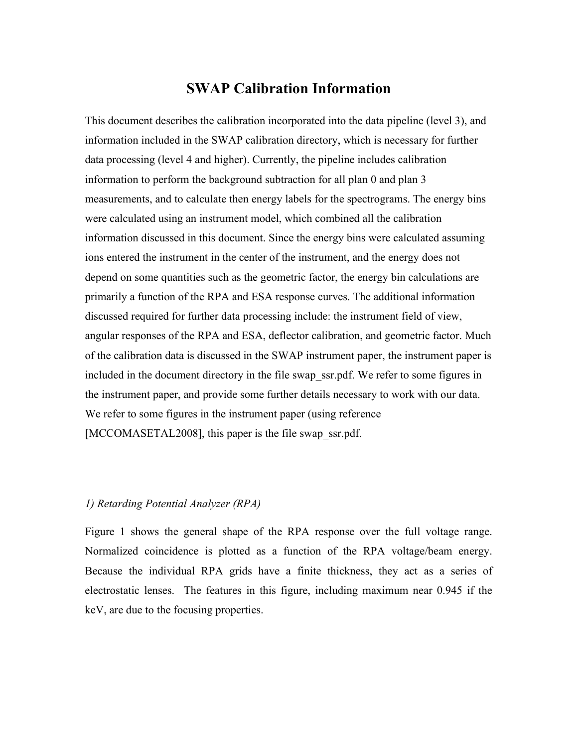# **SWAP Calibration Information**

This document describes the calibration incorporated into the data pipeline (level 3), and information included in the SWAP calibration directory, which is necessary for further data processing (level 4 and higher). Currently, the pipeline includes calibration information to perform the background subtraction for all plan 0 and plan 3 measurements, and to calculate then energy labels for the spectrograms. The energy bins were calculated using an instrument model, which combined all the calibration information discussed in this document. Since the energy bins were calculated assuming ions entered the instrument in the center of the instrument, and the energy does not depend on some quantities such as the geometric factor, the energy bin calculations are primarily a function of the RPA and ESA response curves. The additional information discussed required for further data processing include: the instrument field of view, angular responses of the RPA and ESA, deflector calibration, and geometric factor. Much of the calibration data is discussed in the SWAP instrument paper, the instrument paper is included in the document directory in the file swap\_ssr.pdf. We refer to some figures in the instrument paper, and provide some further details necessary to work with our data. We refer to some figures in the instrument paper (using reference [MCCOMASETAL2008], this paper is the file swap\_ssr.pdf.]

### *1) Retarding Potential Analyzer (RPA)*

Figure 1 shows the general shape of the RPA response over the full voltage range. Normalized coincidence is plotted as a function of the RPA voltage/beam energy. Because the individual RPA grids have a finite thickness, they act as a series of electrostatic lenses. The features in this figure, including maximum near 0.945 if the keV, are due to the focusing properties.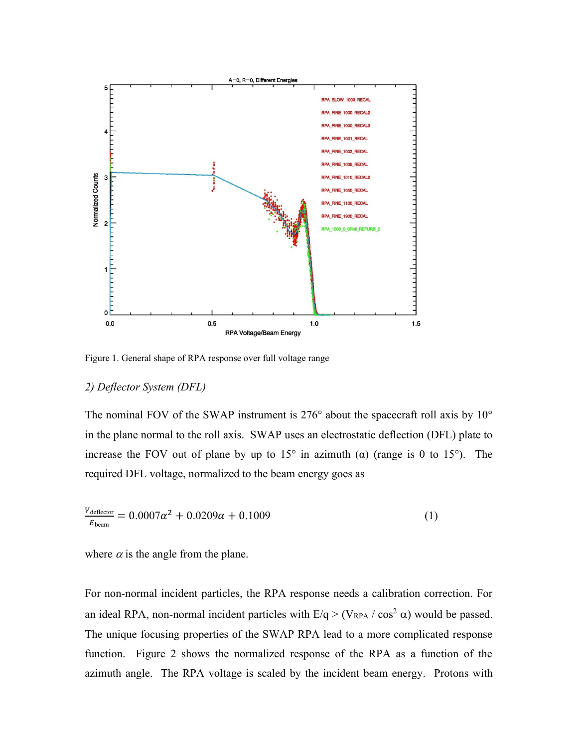

Figure 1. General shape of RPA response over full voltage range

#### *2) Deflector System (DFL)*

The nominal FOV of the SWAP instrument is  $276^{\circ}$  about the spacecraft roll axis by  $10^{\circ}$ in the plane normal to the roll axis. SWAP uses an electrostatic deflection (DFL) plate to increase the FOV out of plane by up to  $15^{\circ}$  in azimuth ( $\alpha$ ) (range is 0 to 15°). The required DFL voltage, normalized to the beam energy goes as

$$
\frac{V_{\text{deflector}}}{E_{\text{beam}}} = 0.0007\alpha^2 + 0.0209\alpha + 0.1009\tag{1}
$$

where  $\alpha$  is the angle from the plane.

For non-normal incident particles, the RPA response needs a calibration correction. For an ideal RPA, non-normal incident particles with  $E/q > (V_{RPA} / \cos^2 \alpha)$  would be passed. The unique focusing properties of the SWAP RPA lead to a more complicated response function. Figure 2 shows the normalized response of the RPA as a function of the azimuth angle. The RPA voltage is scaled by the incident beam energy. Protons with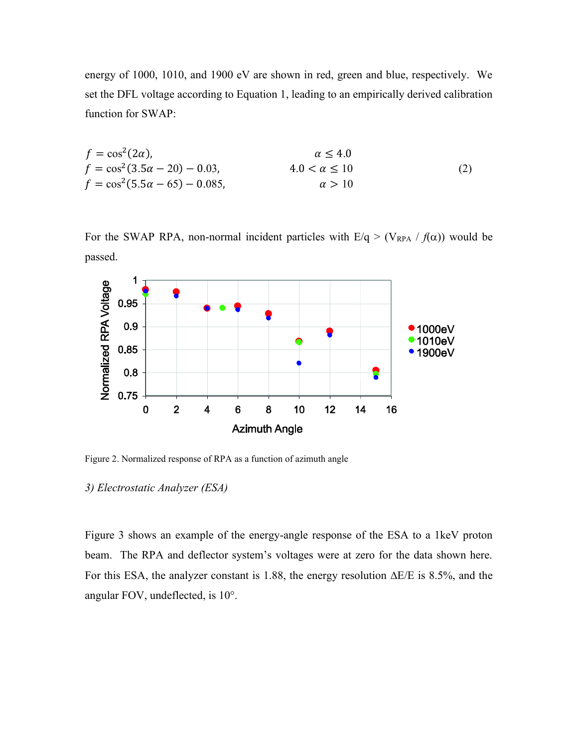energy of 1000, 1010, and 1900 eV are shown in red, green and blue, respectively. We set the DFL voltage according to Equation 1, leading to an empirically derived calibration function for SWAP:

$$
f = \cos^{2}(2\alpha), \qquad \alpha \le 4.0
$$
  
\n
$$
f = \cos^{2}(3.5\alpha - 20) - 0.03, \qquad 4.0 < \alpha \le 10
$$
  
\n
$$
f = \cos^{2}(5.5\alpha - 65) - 0.085, \qquad \alpha > 10
$$
\n(2)

For the SWAP RPA, non-normal incident particles with  $E/q > (V_{RPA} / f(\alpha))$  would be passed.



Figure 2. Normalized response of RPA as a function of azimuth angle

#### *3) Electrostatic Analyzer (ESA)*

Figure 3 shows an example of the energy-angle response of the ESA to a 1keV proton beam. The RPA and deflector system's voltages were at zero for the data shown here. For this ESA, the analyzer constant is 1.88, the energy resolution  $\Delta E/E$  is 8.5%, and the angular FOV, undeflected, is 10°.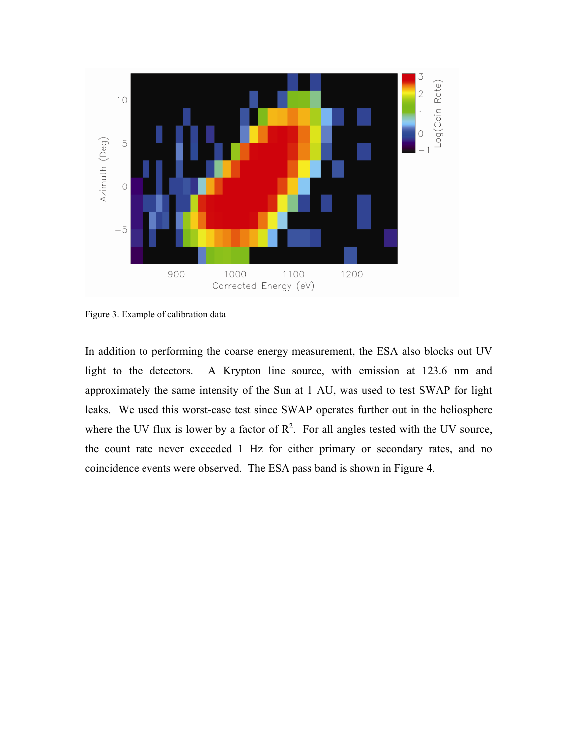

Figure 3. Example of calibration data

In addition to performing the coarse energy measurement, the ESA also blocks out UV light to the detectors. A Krypton line source, with emission at 123.6 nm and approximately the same intensity of the Sun at 1 AU, was used to test SWAP for light leaks. We used this worst-case test since SWAP operates further out in the heliosphere where the UV flux is lower by a factor of  $\mathbb{R}^2$ . For all angles tested with the UV source, the count rate never exceeded 1 Hz for either primary or secondary rates, and no coincidence events were observed. The ESA pass band is shown in Figure 4.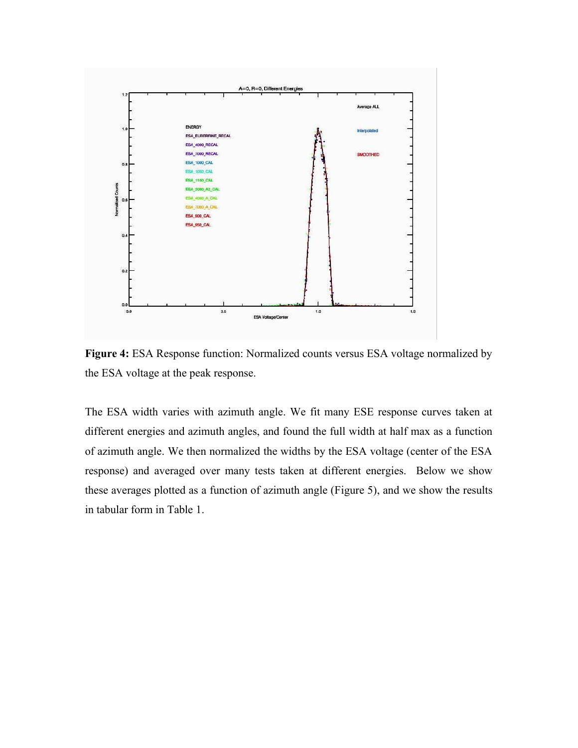

**Figure 4:** ESA Response function: Normalized counts versus ESA voltage normalized by the ESA voltage at the peak response.

The ESA width varies with azimuth angle. We fit many ESE response curves taken at different energies and azimuth angles, and found the full width at half max as a function of azimuth angle. We then normalized the widths by the ESA voltage (center of the ESA response) and averaged over many tests taken at different energies. Below we show these averages plotted as a function of azimuth angle (Figure 5), and we show the results in tabular form in Table 1.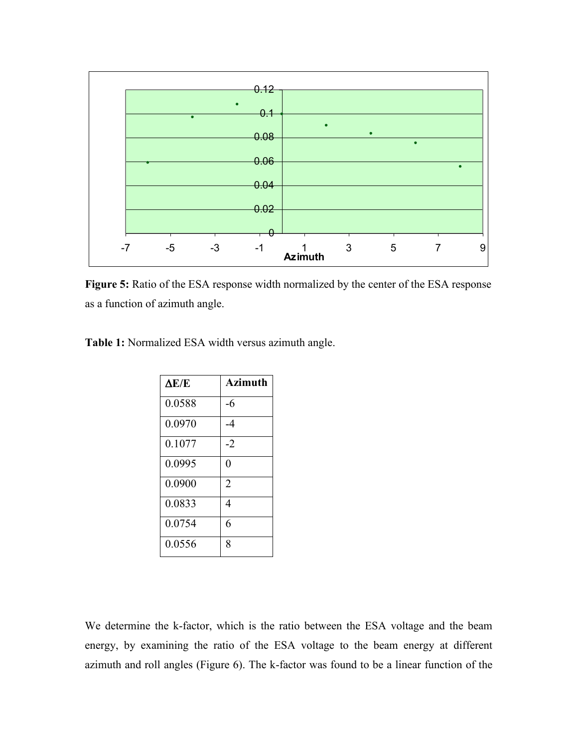

Figure 5: Ratio of the ESA response width normalized by the center of the ESA response as a function of azimuth angle.

**Table 1:** Normalized ESA width versus azimuth angle.

| $\Delta E/E$ | <b>Azimuth</b> |
|--------------|----------------|
| 0.0588       | -6             |
| 0.0970       | -4             |
| 0.1077       | $-2$           |
| 0.0995       | $\overline{0}$ |
| 0.0900       | $\overline{2}$ |
| 0.0833       | 4              |
| 0.0754       | 6              |
| 0.0556       | 8              |

We determine the k-factor, which is the ratio between the ESA voltage and the beam energy, by examining the ratio of the ESA voltage to the beam energy at different azimuth and roll angles (Figure 6). The k-factor was found to be a linear function of the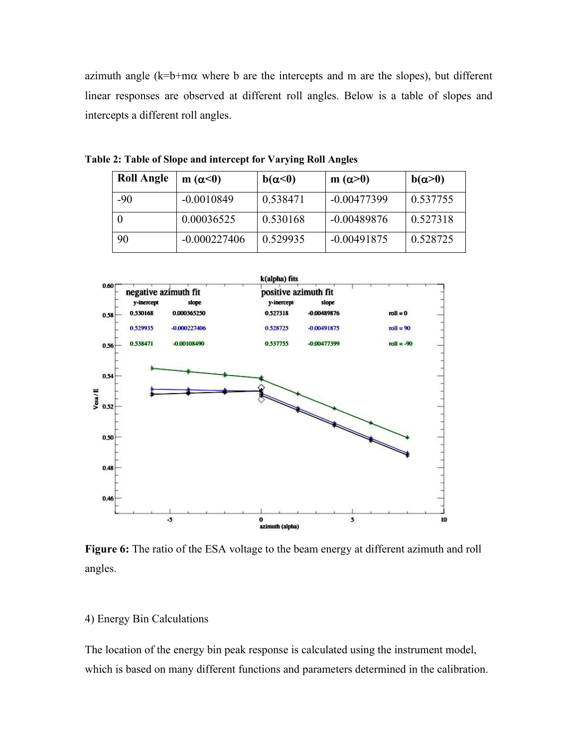azimuth angle  $(k=b+m\alpha$  where b are the intercepts and m are the slopes), but different linear responses are observed at different roll angles. Below is a table of slopes and intercepts a different roll angles.

| <b>Roll Angle</b> | m $(\alpha<0)$ | $b(\alpha<0)$ | $m(\alpha > 0)$ | $b(\alpha>0)$ |
|-------------------|----------------|---------------|-----------------|---------------|
| $-90$             | $-0.0010849$   | 0.538471      | $-0.00477399$   | 0.537755      |
|                   | 0.00036525     | 0.530168      | $-0.00489876$   | 0.527318      |
| 90                | $-0.000227406$ | 0.529935      | $-0.00491875$   | 0.528725      |

**Table 2: Table of Slope and intercept for Varying Roll Angles** 



**Figure 6:** The ratio of the ESA voltage to the beam energy at different azimuth and roll angles.

### 4) Energy Bin Calculations

The location of the energy bin peak response is calculated using the instrument model, which is based on many different functions and parameters determined in the calibration.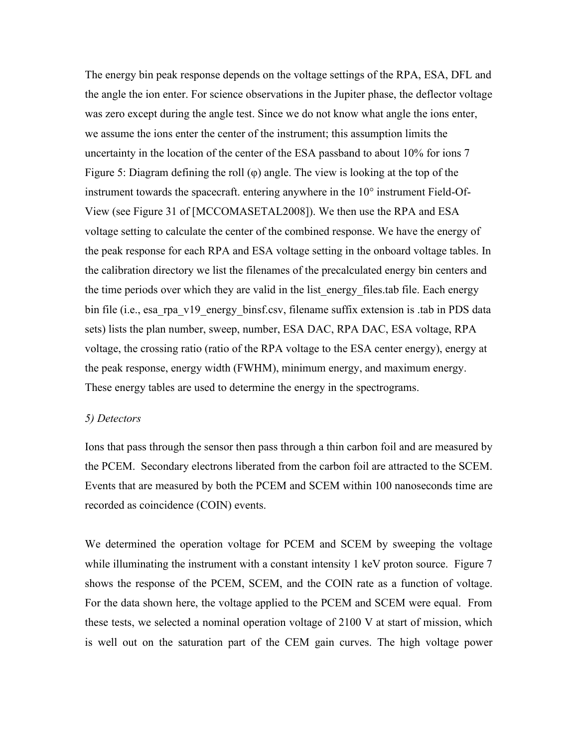The energy bin peak response depends on the voltage settings of the RPA, ESA, DFL and the angle the ion enter. For science observations in the Jupiter phase, the deflector voltage was zero except during the angle test. Since we do not know what angle the ions enter, we assume the ions enter the center of the instrument; this assumption limits the uncertainty in the location of the center of the ESA passband to about 10% for ions 7 Figure 5: Diagram defining the roll (φ) angle. The view is looking at the top of the instrument towards the spacecraft. entering anywhere in the 10° instrument Field-Of-View (see Figure 31 of [MCCOMASETAL2008]). We then use the RPA and ESA voltage setting to calculate the center of the combined response. We have the energy of the peak response for each RPA and ESA voltage setting in the onboard voltage tables. In the calibration directory we list the filenames of the precalculated energy bin centers and the time periods over which they are valid in the list energy files tab file. Each energy bin file (i.e., esa\_rpa\_v19\_energy\_binsf.csv, filename suffix extension is .tab in PDS data sets) lists the plan number, sweep, number, ESA DAC, RPA DAC, ESA voltage, RPA voltage, the crossing ratio (ratio of the RPA voltage to the ESA center energy), energy at the peak response, energy width (FWHM), minimum energy, and maximum energy. These energy tables are used to determine the energy in the spectrograms.

#### *5) Detectors*

Ions that pass through the sensor then pass through a thin carbon foil and are measured by the PCEM. Secondary electrons liberated from the carbon foil are attracted to the SCEM. Events that are measured by both the PCEM and SCEM within 100 nanoseconds time are recorded as coincidence (COIN) events.

We determined the operation voltage for PCEM and SCEM by sweeping the voltage while illuminating the instrument with a constant intensity 1 keV proton source. Figure 7 shows the response of the PCEM, SCEM, and the COIN rate as a function of voltage. For the data shown here, the voltage applied to the PCEM and SCEM were equal. From these tests, we selected a nominal operation voltage of 2100 V at start of mission, which is well out on the saturation part of the CEM gain curves. The high voltage power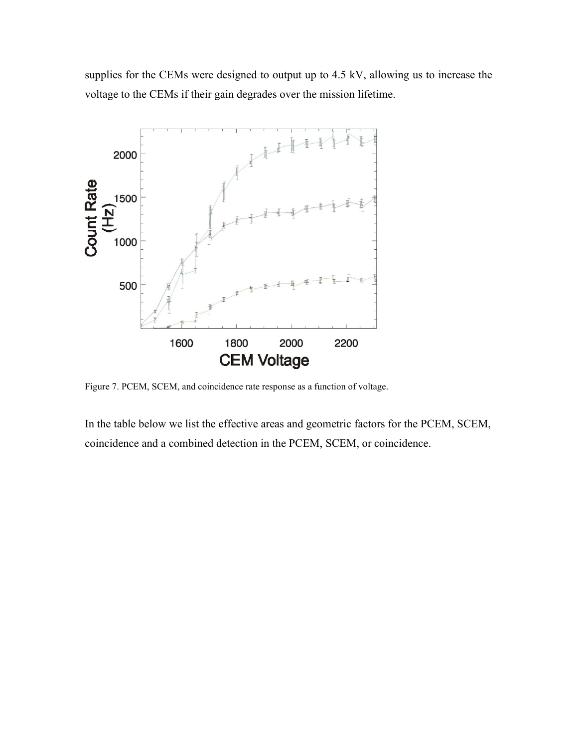supplies for the CEMs were designed to output up to 4.5 kV, allowing us to increase the voltage to the CEMs if their gain degrades over the mission lifetime.



Figure 7. PCEM, SCEM, and coincidence rate response as a function of voltage.

In the table below we list the effective areas and geometric factors for the PCEM, SCEM, coincidence and a combined detection in the PCEM, SCEM, or coincidence.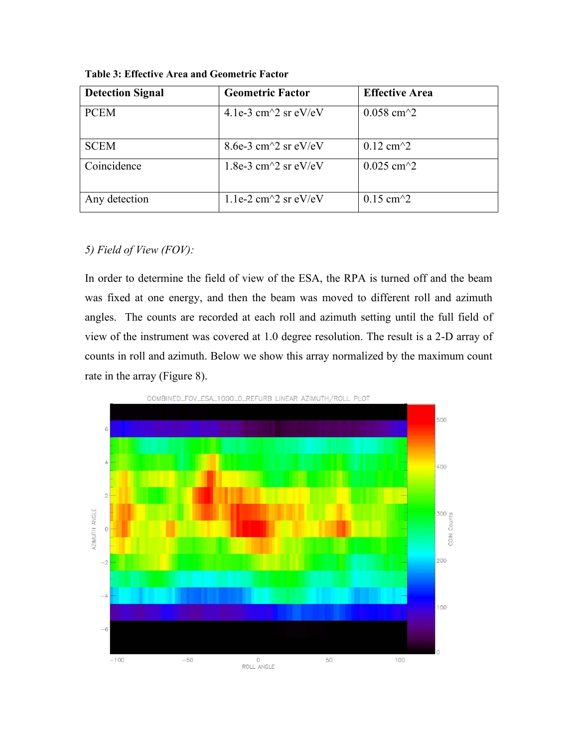| <b>Detection Signal</b> | <b>Geometric Factor</b>                           | <b>Effective Area</b>                     |
|-------------------------|---------------------------------------------------|-------------------------------------------|
| <b>PCEM</b>             | 4.1e-3 cm <sup><math>\sim</math></sup> 2 sr eV/eV | $0.058$ cm <sup><math>\sim</math></sup> 2 |
| <b>SCEM</b>             | 8.6e-3 cm $\textdegree$ 2 sr eV/eV                | $0.12 \text{ cm}^2$                       |
| Coincidence             | 1.8e-3 cm $\textdegree$ 2 sr eV/eV                | $0.025$ cm <sup><math>\sim</math></sup> 2 |
| Any detection           | 1.1e-2 cm $\textdegree$ 2 sr eV/eV                | $0.15 \text{ cm}^2$                       |

**Table 3: Effective Area and Geometric Factor** 

## *5) Field of View (FOV):*

In order to determine the field of view of the ESA, the RPA is turned off and the beam was fixed at one energy, and then the beam was moved to different roll and azimuth angles. The counts are recorded at each roll and azimuth setting until the full field of view of the instrument was covered at 1.0 degree resolution. The result is a 2-D array of counts in roll and azimuth. Below we show this array normalized by the maximum count rate in the array (Figure 8).

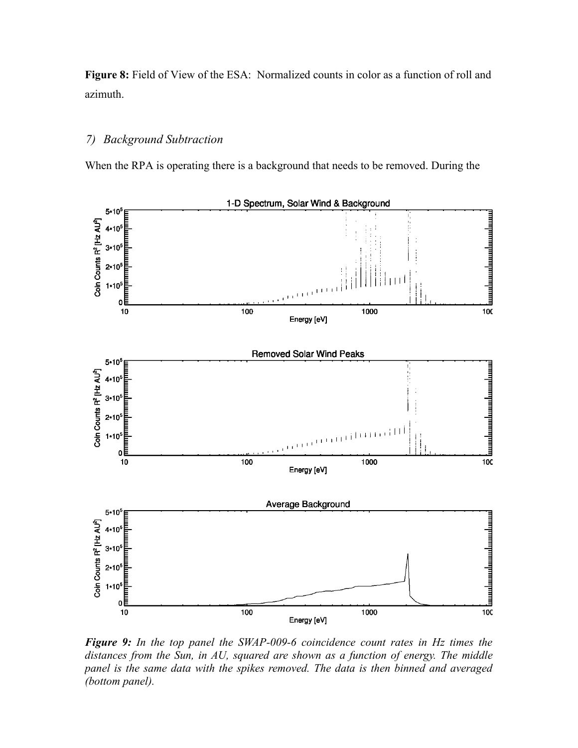**Figure 8:** Field of View of the ESA: Normalized counts in color as a function of roll and azimuth.

### *7) Background Subtraction*

When the RPA is operating there is a background that needs to be removed. During the



*Figure 9: In the top panel the SWAP-009-6 coincidence count rates in Hz times the distances from the Sun, in AU, squared are shown as a function of energy. The middle panel is the same data with the spikes removed. The data is then binned and averaged (bottom panel).*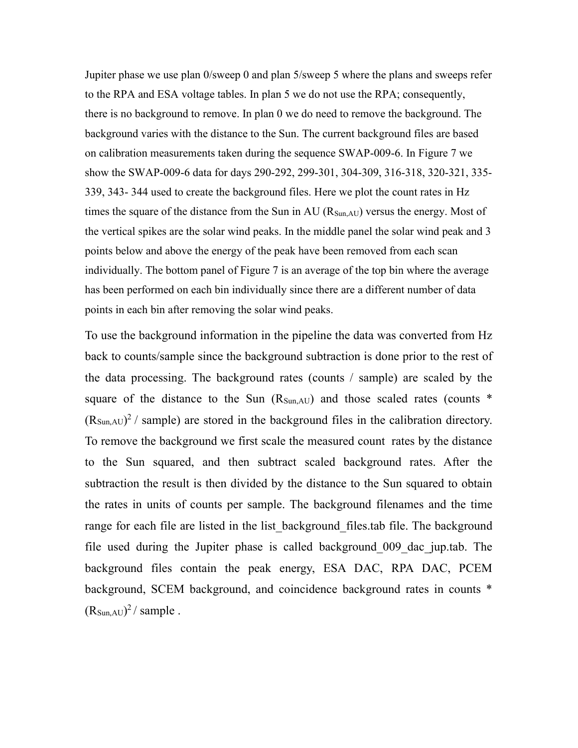Jupiter phase we use plan 0/sweep 0 and plan 5/sweep 5 where the plans and sweeps refer to the RPA and ESA voltage tables. In plan 5 we do not use the RPA; consequently, there is no background to remove. In plan 0 we do need to remove the background. The background varies with the distance to the Sun. The current background files are based on calibration measurements taken during the sequence SWAP-009-6. In Figure 7 we show the SWAP-009-6 data for days 290-292, 299-301, 304-309, 316-318, 320-321, 335- 339, 343- 344 used to create the background files. Here we plot the count rates in Hz times the square of the distance from the Sun in AU  $(R_{SunAU})$  versus the energy. Most of the vertical spikes are the solar wind peaks. In the middle panel the solar wind peak and 3 points below and above the energy of the peak have been removed from each scan individually. The bottom panel of Figure 7 is an average of the top bin where the average has been performed on each bin individually since there are a different number of data points in each bin after removing the solar wind peaks.

To use the background information in the pipeline the data was converted from Hz back to counts/sample since the background subtraction is done prior to the rest of the data processing. The background rates (counts / sample) are scaled by the square of the distance to the Sun  $(R_{Sun, AU})$  and those scaled rates (counts  $*$  $(R_{Sun, AU})^2$  / sample) are stored in the background files in the calibration directory. To remove the background we first scale the measured count rates by the distance to the Sun squared, and then subtract scaled background rates. After the subtraction the result is then divided by the distance to the Sun squared to obtain the rates in units of counts per sample. The background filenames and the time range for each file are listed in the list background files.tab file. The background file used during the Jupiter phase is called background\_009\_dac\_jup.tab. The background files contain the peak energy, ESA DAC, RPA DAC, PCEM background, SCEM background, and coincidence background rates in counts \*  $(R_{Sun,AU})^2/$  sample.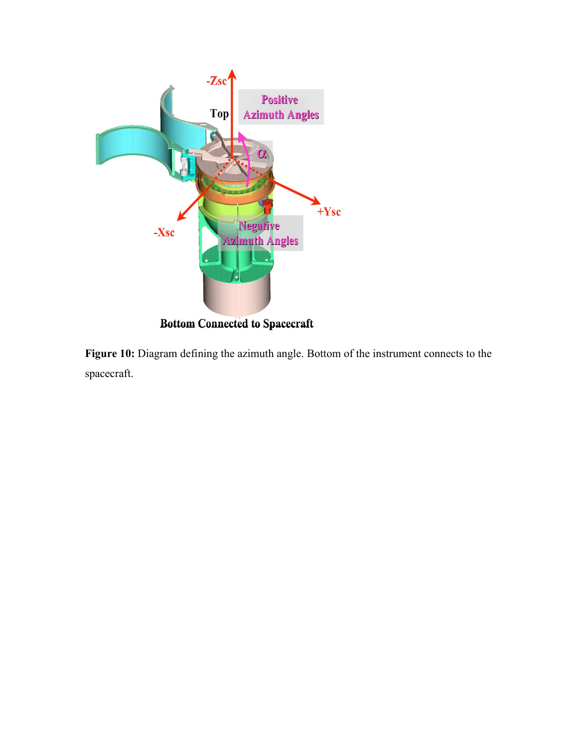

**Figure 10:** Diagram defining the azimuth angle. Bottom of the instrument connects to the spacecraft.